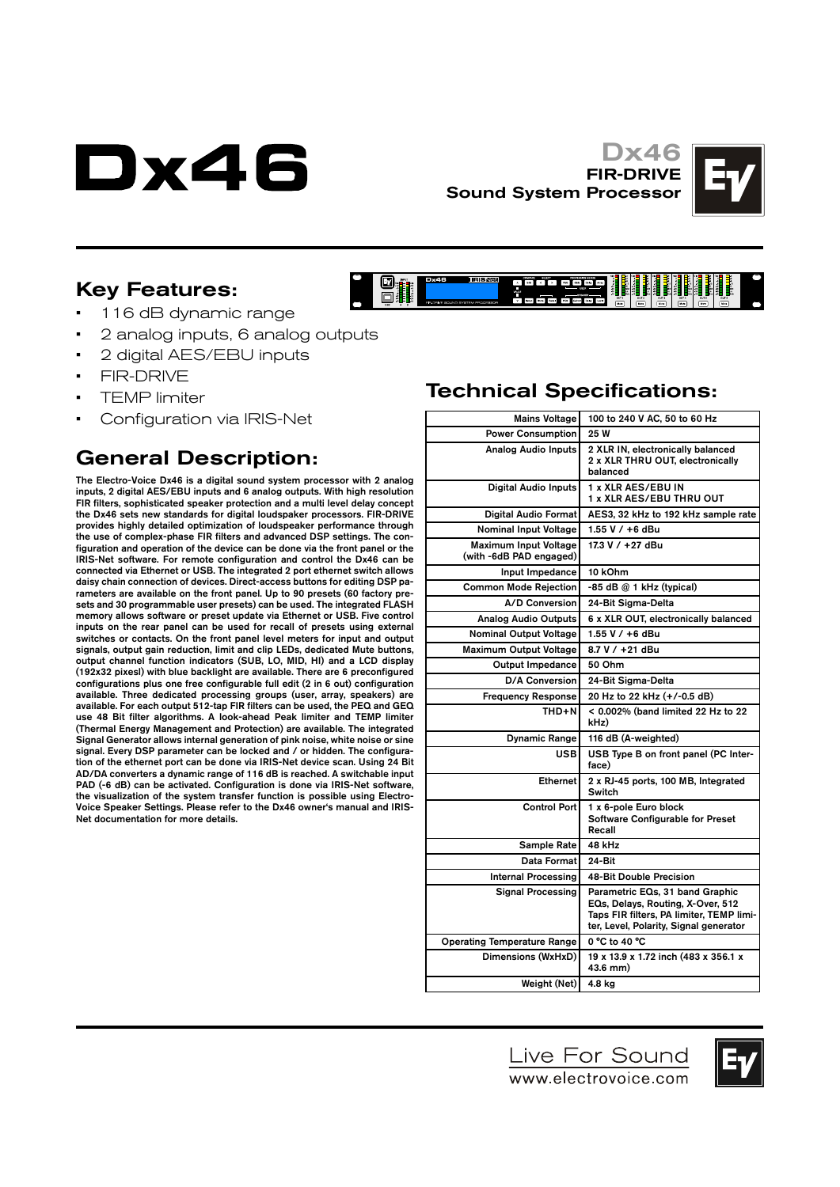# Dx46

#### Dx46 FIR-DRIVE Sound System Processor

**L**IRISNEE

**Dx46** 

 $\mathbf{O}_{\mathbf{H}}$ 



### Key Features:

- 116 dB dynamic range
- 2 analog inputs, 6 analog outputs
- 2 digital AES/EBU inputs
- FIR-DRIVE
- TEMP limiter
- Configuration via IRIS-Net

## General Description:

The Electro-Voice Dx46 is a digital sound system processor with 2 analog inputs, 2 digital AES/EBU inputs and 6 analog outputs. With high resolution FIR filters, sophisticated speaker protection and a multi level delay concept the Dx46 sets new standards for digital loudspaker processors. FIR-DRIVE provides highly detailed optimization of loudspeaker performance through the use of complex-phase FIR filters and advanced DSP settings. The configuration and operation of the device can be done via the front panel or the IRIS-Net software. For remote configuration and control the Dx46 can be connected via Ethernet or USB. The integrated 2 port ethernet switch allows daisy chain connection of devices. Direct-access buttons for editing DSP parameters are available on the front panel. Up to 90 presets (60 factory presets and 30 programmable user presets) can be used. The integrated FLASH memory allows software or preset update via Ethernet or USB. Five control inputs on the rear panel can be used for recall of presets using external switches or contacts. On the front panel level meters for input and output signals, output gain reduction, limit and clip LEDs, dedicated Mute buttons, output channel function indicators (SUB, LO, MID, HI) and a LCD display (192x32 pixesl) with blue backlight are available. There are 6 preconfigured configurations plus one free configurable full edit (2 in 6 out) configuration available. Three dedicated processing groups (user, array, speakers) are available. For each output 512-tap FIR filters can be used, the PEQ and GEQ use 48 Bit filter algorithms. A look-ahead Peak limiter and TEMP limiter (Thermal Energy Management and Protection) are available. The integrated Signal Generator allows internal generation of pink noise, white noise or sine signal. Every DSP parameter can be locked and / or hidden. The configuration of the ethernet port can be done via IRIS-Net device scan. Using 24 Bit AD/DA converters a dynamic range of 116 dB is reached. A switchable input PAD (-6 dB) can be activated. Configuration is done via IRIS-Net software, the visualization of the system transfer function is possible using Electro-Voice Speaker Settings. Please refer to the Dx46 owner's manual and IRIS-Net documentation for more details.

# Technical Specifications:

PCG 000 DNS Any

| <b>Mains Voltage</b>                                    | 100 to 240 V AC, 50 to 60 Hz                                                                                                                               |
|---------------------------------------------------------|------------------------------------------------------------------------------------------------------------------------------------------------------------|
| <b>Power Consumption</b>                                | 25 W                                                                                                                                                       |
| <b>Analog Audio Inputs</b>                              | 2 XLR IN, electronically balanced<br>2 x XLR THRU OUT, electronically<br>balanced                                                                          |
| <b>Digital Audio Inputs</b>                             | 1 x XLR AES/EBU IN<br><b>1 x XLR AES/EBU THRU OUT</b>                                                                                                      |
| Digital Audio Format                                    | AES3, 32 kHz to 192 kHz sample rate                                                                                                                        |
| Nominal Input Voltage                                   | 1.55 V / +6 dBu                                                                                                                                            |
| <b>Maximum Input Voltage</b><br>(with -6dB PAD engaged) | 17.3 V / +27 dBu                                                                                                                                           |
| Input Impedance                                         | 10 kOhm                                                                                                                                                    |
| <b>Common Mode Rejection</b>                            | -85 dB @ 1 kHz (typical)                                                                                                                                   |
| A/D Conversion                                          | 24-Bit Sigma-Delta                                                                                                                                         |
| <b>Analog Audio Outputs</b>                             | 6 x XLR OUT, electronically balanced                                                                                                                       |
| <b>Nominal Output Voltage</b>                           | 1.55 V / +6 dBu                                                                                                                                            |
| <b>Maximum Output Voltage</b>                           | 8.7 V / +21 dBu                                                                                                                                            |
| <b>Output Impedance</b>                                 | 50 Ohm                                                                                                                                                     |
| <b>D/A Conversion</b>                                   | 24-Bit Sigma-Delta                                                                                                                                         |
| <b>Frequency Response</b>                               | 20 Hz to 22 kHz (+/-0.5 dB)                                                                                                                                |
| THD+N                                                   | < 0.002% (band limited 22 Hz to 22<br>kHz)                                                                                                                 |
| <b>Dynamic Range</b>                                    | 116 dB (A-weighted)                                                                                                                                        |
| <b>USB</b>                                              | USB Type B on front panel (PC Inter-<br>face)                                                                                                              |
| <b>Ethernet</b>                                         | 2 x RJ-45 ports, 100 MB, Integrated<br>Switch                                                                                                              |
| <b>Control Port</b>                                     | 1 x 6-pole Euro block<br>Software Configurable for Preset<br>Recall                                                                                        |
| Sample Rate                                             | 48 kHz                                                                                                                                                     |
| Data Format                                             | 24-Bit                                                                                                                                                     |
| <b>Internal Processing</b>                              | 48-Bit Double Precision                                                                                                                                    |
| <b>Signal Processing</b>                                | Parametric EQs, 31 band Graphic<br>EQs, Delays, Routing, X-Over, 512<br>Taps FIR filters, PA limiter, TEMP limi-<br>ter, Level, Polarity, Signal generator |
| <b>Operating Temperature Range</b>                      | 0 °C to 40 °C                                                                                                                                              |
| Dimensions (WxHxD)                                      | 19 x 13.9 x 1.72 inch (483 x 356.1 x<br>43.6 mm)                                                                                                           |
| Weight (Net)                                            | 4.8 kg                                                                                                                                                     |
|                                                         |                                                                                                                                                            |



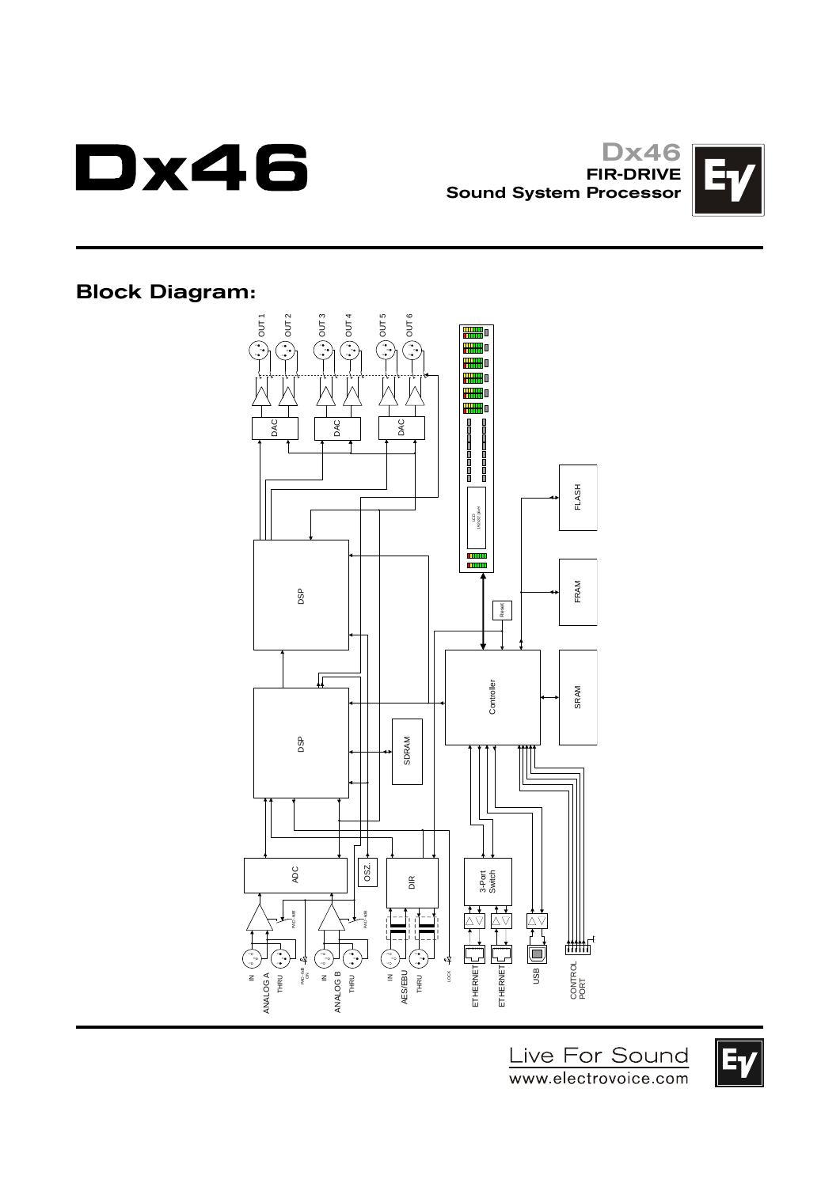

Dx46 FIR-DRIVE Sound System Processor



Block Diagram:



Live For Sound www.electrovoice.com

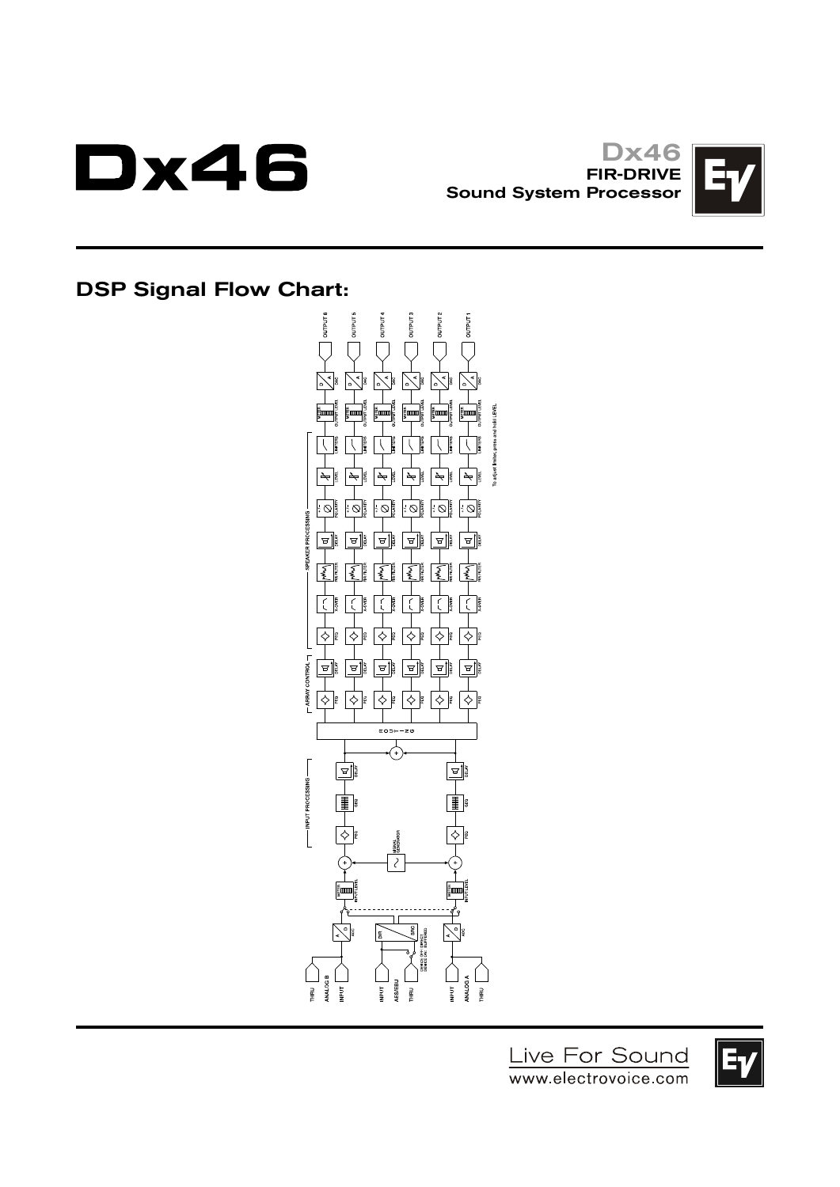

Dx46 FIR-DRIVE Sound System Processor



## DSP Signal Flow Chart:



Live For Sound www.electrovoice.com